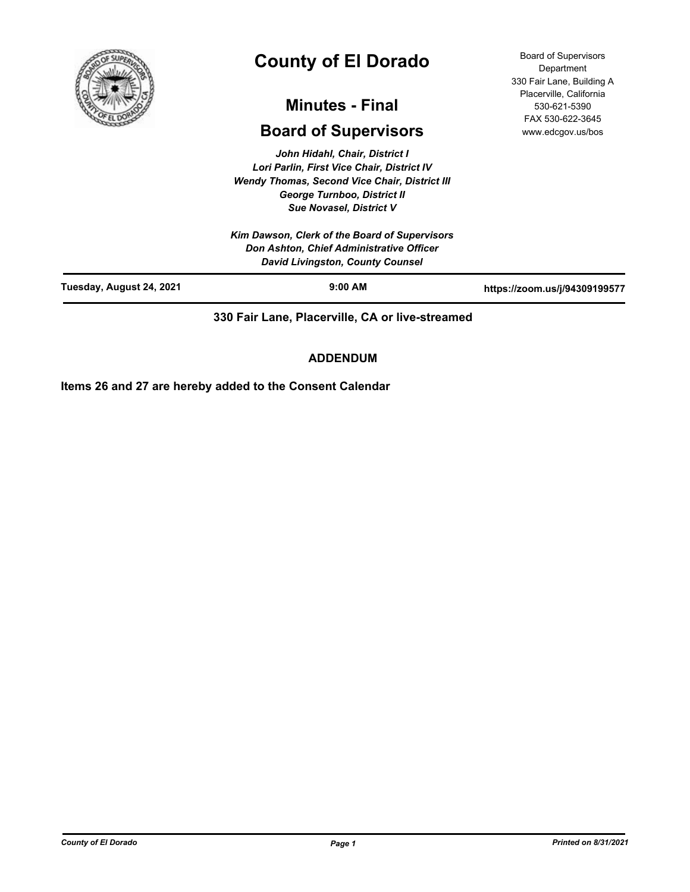

# **County of El Dorado**

## **Minutes - Final**

## **Board of Supervisors**

*John Hidahl, Chair, District I Lori Parlin, First Vice Chair, District IV Wendy Thomas, Second Vice Chair, District III George Turnboo, District II Sue Novasel, District V*

*Kim Dawson, Clerk of the Board of Supervisors Don Ashton, Chief Administrative Officer David Livingston, County Counsel*

Board of Supervisors **Department** 330 Fair Lane, Building A Placerville, California 530-621-5390 FAX 530-622-3645 www.edcgov.us/bos

| Tuesday, August 24, 2021 | $9:00$ AM | https://zoom.us/j/94309199577 |
|--------------------------|-----------|-------------------------------|
|                          |           |                               |

**330 Fair Lane, Placerville, CA or live-streamed**

#### **ADDENDUM**

**Items 26 and 27 are hereby added to the Consent Calendar**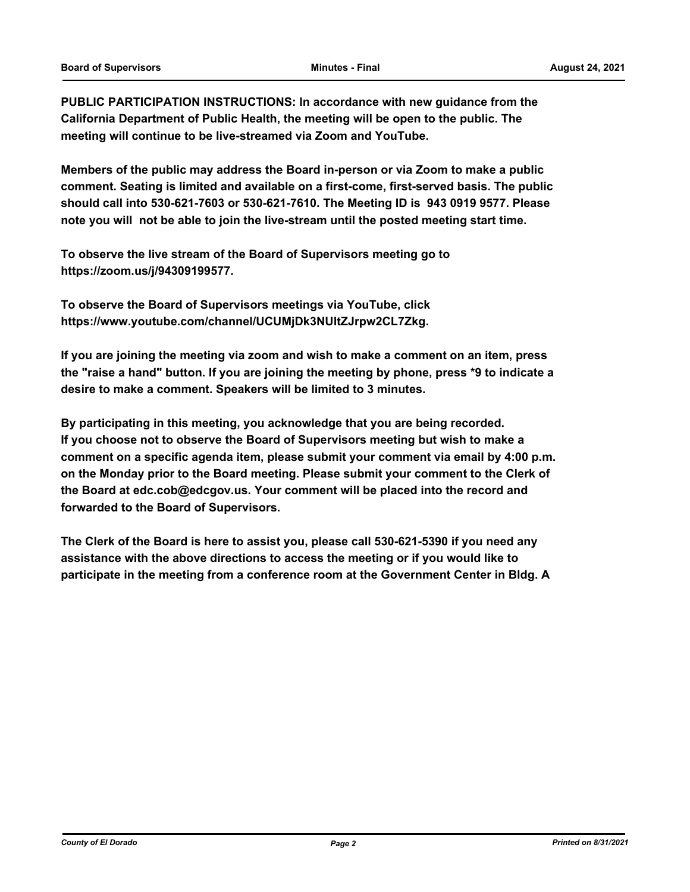**PUBLIC PARTICIPATION INSTRUCTIONS: In accordance with new guidance from the California Department of Public Health, the meeting will be open to the public. The meeting will continue to be live-streamed via Zoom and YouTube.**

**Members of the public may address the Board in-person or via Zoom to make a public comment. Seating is limited and available on a first-come, first-served basis. The public should call into 530-621-7603 or 530-621-7610. The Meeting ID is 943 0919 9577. Please note you will not be able to join the live-stream until the posted meeting start time.**

**To observe the live stream of the Board of Supervisors meeting go to https://zoom.us/j/94309199577.**

**To observe the Board of Supervisors meetings via YouTube, click https://www.youtube.com/channel/UCUMjDk3NUltZJrpw2CL7Zkg.**

**If you are joining the meeting via zoom and wish to make a comment on an item, press the "raise a hand" button. If you are joining the meeting by phone, press \*9 to indicate a desire to make a comment. Speakers will be limited to 3 minutes.**

**By participating in this meeting, you acknowledge that you are being recorded. If you choose not to observe the Board of Supervisors meeting but wish to make a comment on a specific agenda item, please submit your comment via email by 4:00 p.m. on the Monday prior to the Board meeting. Please submit your comment to the Clerk of the Board at edc.cob@edcgov.us. Your comment will be placed into the record and forwarded to the Board of Supervisors.**

**The Clerk of the Board is here to assist you, please call 530-621-5390 if you need any assistance with the above directions to access the meeting or if you would like to participate in the meeting from a conference room at the Government Center in Bldg. A**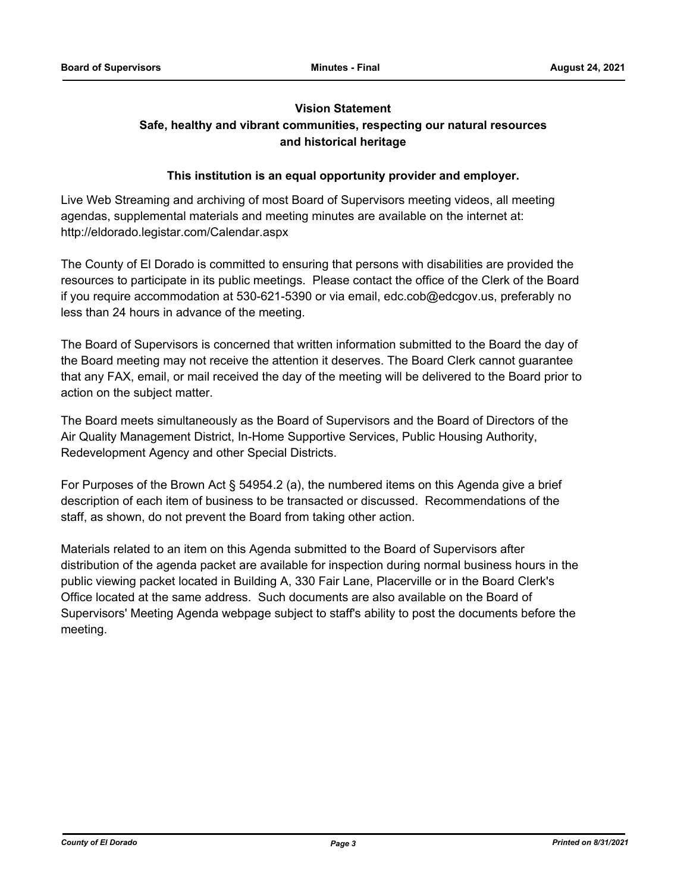#### **Vision Statement**

### **Safe, healthy and vibrant communities, respecting our natural resources and historical heritage**

#### **This institution is an equal opportunity provider and employer.**

Live Web Streaming and archiving of most Board of Supervisors meeting videos, all meeting agendas, supplemental materials and meeting minutes are available on the internet at: http://eldorado.legistar.com/Calendar.aspx

The County of El Dorado is committed to ensuring that persons with disabilities are provided the resources to participate in its public meetings. Please contact the office of the Clerk of the Board if you require accommodation at 530-621-5390 or via email, edc.cob@edcgov.us, preferably no less than 24 hours in advance of the meeting.

The Board of Supervisors is concerned that written information submitted to the Board the day of the Board meeting may not receive the attention it deserves. The Board Clerk cannot guarantee that any FAX, email, or mail received the day of the meeting will be delivered to the Board prior to action on the subject matter.

The Board meets simultaneously as the Board of Supervisors and the Board of Directors of the Air Quality Management District, In-Home Supportive Services, Public Housing Authority, Redevelopment Agency and other Special Districts.

For Purposes of the Brown Act § 54954.2 (a), the numbered items on this Agenda give a brief description of each item of business to be transacted or discussed. Recommendations of the staff, as shown, do not prevent the Board from taking other action.

Materials related to an item on this Agenda submitted to the Board of Supervisors after distribution of the agenda packet are available for inspection during normal business hours in the public viewing packet located in Building A, 330 Fair Lane, Placerville or in the Board Clerk's Office located at the same address. Such documents are also available on the Board of Supervisors' Meeting Agenda webpage subject to staff's ability to post the documents before the meeting.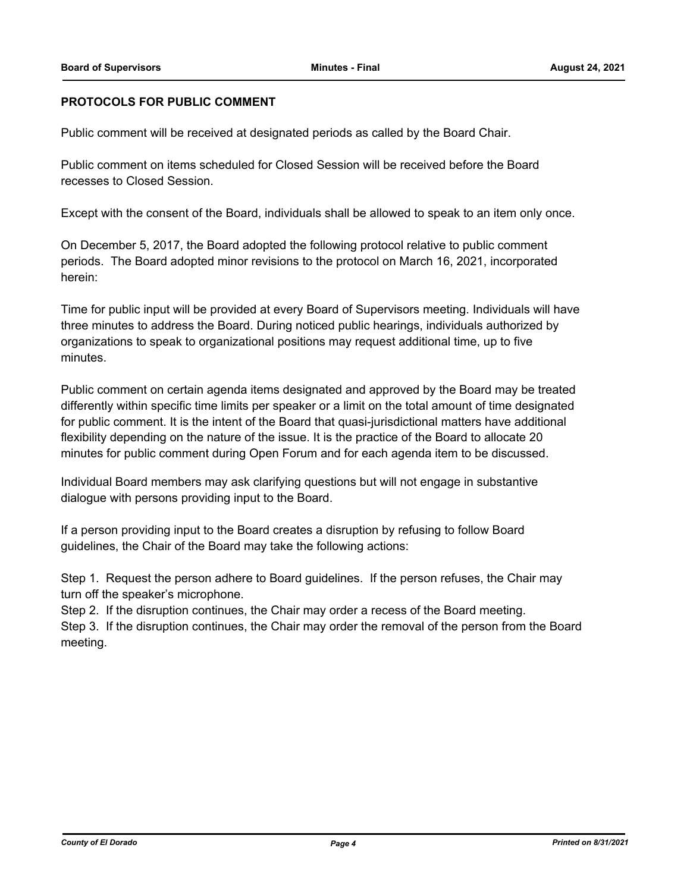#### **PROTOCOLS FOR PUBLIC COMMENT**

Public comment will be received at designated periods as called by the Board Chair.

Public comment on items scheduled for Closed Session will be received before the Board recesses to Closed Session.

Except with the consent of the Board, individuals shall be allowed to speak to an item only once.

On December 5, 2017, the Board adopted the following protocol relative to public comment periods. The Board adopted minor revisions to the protocol on March 16, 2021, incorporated herein:

Time for public input will be provided at every Board of Supervisors meeting. Individuals will have three minutes to address the Board. During noticed public hearings, individuals authorized by organizations to speak to organizational positions may request additional time, up to five minutes.

Public comment on certain agenda items designated and approved by the Board may be treated differently within specific time limits per speaker or a limit on the total amount of time designated for public comment. It is the intent of the Board that quasi-jurisdictional matters have additional flexibility depending on the nature of the issue. It is the practice of the Board to allocate 20 minutes for public comment during Open Forum and for each agenda item to be discussed.

Individual Board members may ask clarifying questions but will not engage in substantive dialogue with persons providing input to the Board.

If a person providing input to the Board creates a disruption by refusing to follow Board guidelines, the Chair of the Board may take the following actions:

Step 1. Request the person adhere to Board guidelines. If the person refuses, the Chair may turn off the speaker's microphone.

Step 2. If the disruption continues, the Chair may order a recess of the Board meeting.

Step 3. If the disruption continues, the Chair may order the removal of the person from the Board meeting.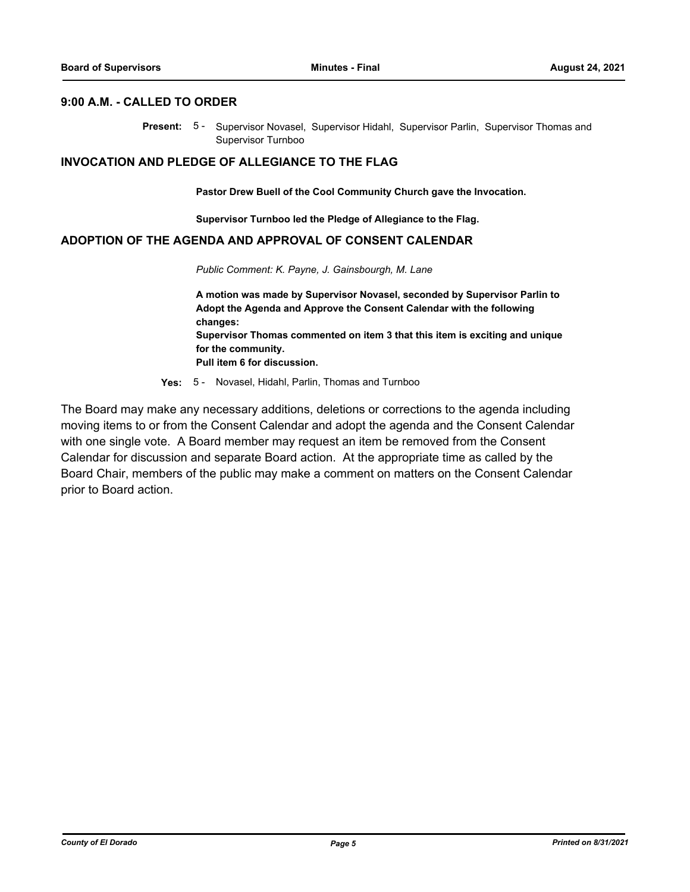#### **9:00 A.M. - CALLED TO ORDER**

Present: 5- Supervisor Novasel, Supervisor Hidahl, Supervisor Parlin, Supervisor Thomas and Supervisor Turnboo

#### **INVOCATION AND PLEDGE OF ALLEGIANCE TO THE FLAG**

**Pastor Drew Buell of the Cool Community Church gave the Invocation.**

**Supervisor Turnboo led the Pledge of Allegiance to the Flag.**

#### **ADOPTION OF THE AGENDA AND APPROVAL OF CONSENT CALENDAR**

*Public Comment: K. Payne, J. Gainsbourgh, M. Lane*

**A motion was made by Supervisor Novasel, seconded by Supervisor Parlin to Adopt the Agenda and Approve the Consent Calendar with the following changes: Supervisor Thomas commented on item 3 that this item is exciting and unique for the community. Pull item 6 for discussion.**

**Yes:** 5 - Novasel, Hidahl, Parlin, Thomas and Turnboo

The Board may make any necessary additions, deletions or corrections to the agenda including moving items to or from the Consent Calendar and adopt the agenda and the Consent Calendar with one single vote. A Board member may request an item be removed from the Consent Calendar for discussion and separate Board action. At the appropriate time as called by the Board Chair, members of the public may make a comment on matters on the Consent Calendar prior to Board action.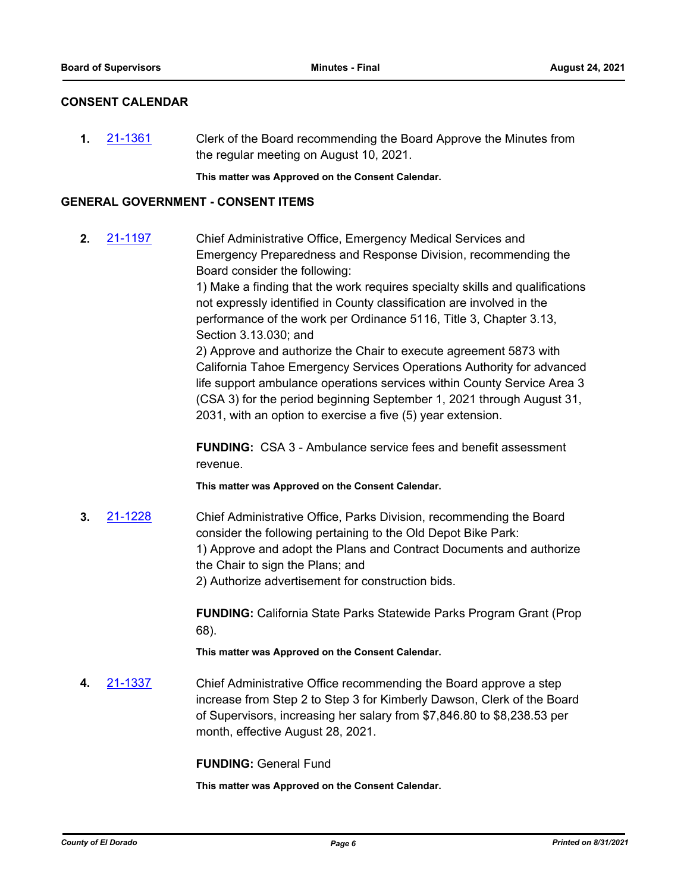#### **CONSENT CALENDAR**

**1.** [21-1361](http://eldorado.legistar.com/gateway.aspx?m=l&id=/matter.aspx?key=30256) Clerk of the Board recommending the Board Approve the Minutes from the regular meeting on August 10, 2021.

**This matter was Approved on the Consent Calendar.**

#### **GENERAL GOVERNMENT - CONSENT ITEMS**

**2.** [21-1197](http://eldorado.legistar.com/gateway.aspx?m=l&id=/matter.aspx?key=30092) Chief Administrative Office, Emergency Medical Services and Emergency Preparedness and Response Division, recommending the Board consider the following:

> 1) Make a finding that the work requires specialty skills and qualifications not expressly identified in County classification are involved in the performance of the work per Ordinance 5116, Title 3, Chapter 3.13, Section 3.13.030; and

> 2) Approve and authorize the Chair to execute agreement 5873 with California Tahoe Emergency Services Operations Authority for advanced life support ambulance operations services within County Service Area 3 (CSA 3) for the period beginning September 1, 2021 through August 31, 2031, with an option to exercise a five (5) year extension.

**FUNDING:** CSA 3 - Ambulance service fees and benefit assessment revenue.

**This matter was Approved on the Consent Calendar.**

**3.** [21-1228](http://eldorado.legistar.com/gateway.aspx?m=l&id=/matter.aspx?key=30123) Chief Administrative Office, Parks Division, recommending the Board consider the following pertaining to the Old Depot Bike Park: 1) Approve and adopt the Plans and Contract Documents and authorize the Chair to sign the Plans; and 2) Authorize advertisement for construction bids.

> **FUNDING:** California State Parks Statewide Parks Program Grant (Prop 68).

**This matter was Approved on the Consent Calendar.**

**4.** [21-1337](http://eldorado.legistar.com/gateway.aspx?m=l&id=/matter.aspx?key=30232) Chief Administrative Office recommending the Board approve a step increase from Step 2 to Step 3 for Kimberly Dawson, Clerk of the Board of Supervisors, increasing her salary from \$7,846.80 to \$8,238.53 per month, effective August 28, 2021.

**FUNDING:** General Fund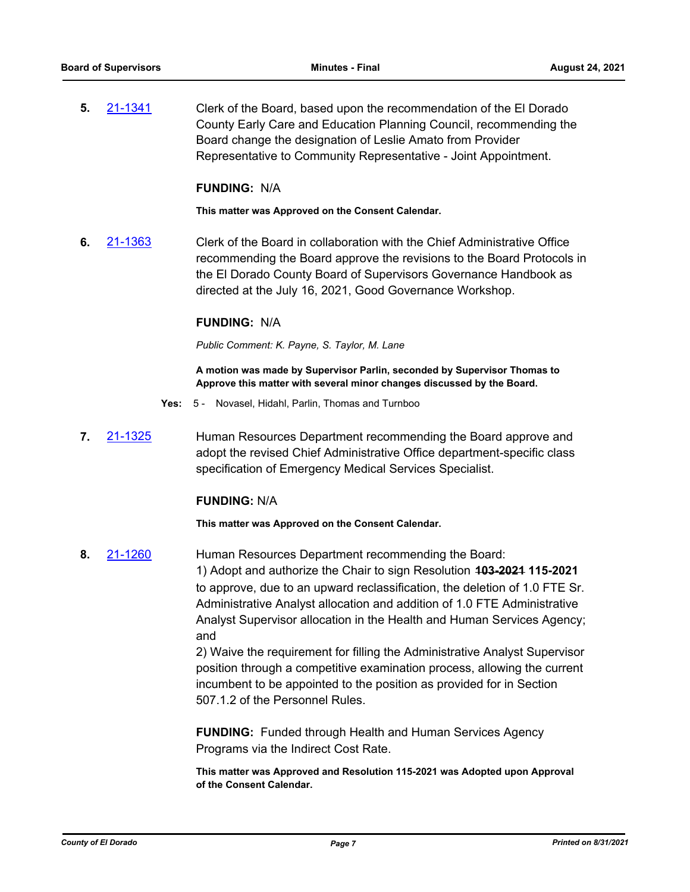**5.** [21-1341](http://eldorado.legistar.com/gateway.aspx?m=l&id=/matter.aspx?key=30236) Clerk of the Board, based upon the recommendation of the El Dorado County Early Care and Education Planning Council, recommending the Board change the designation of Leslie Amato from Provider Representative to Community Representative - Joint Appointment.

#### **FUNDING:** N/A

**This matter was Approved on the Consent Calendar.**

**6.** [21-1363](http://eldorado.legistar.com/gateway.aspx?m=l&id=/matter.aspx?key=30258) Clerk of the Board in collaboration with the Chief Administrative Office recommending the Board approve the revisions to the Board Protocols in the El Dorado County Board of Supervisors Governance Handbook as directed at the July 16, 2021, Good Governance Workshop.

#### **FUNDING:** N/A

*Public Comment: K. Payne, S. Taylor, M. Lane*

**A motion was made by Supervisor Parlin, seconded by Supervisor Thomas to Approve this matter with several minor changes discussed by the Board.**

- **Yes:** 5 Novasel, Hidahl, Parlin, Thomas and Turnboo
- **7.** [21-1325](http://eldorado.legistar.com/gateway.aspx?m=l&id=/matter.aspx?key=30220) Human Resources Department recommending the Board approve and adopt the revised Chief Administrative Office department-specific class specification of Emergency Medical Services Specialist.

#### **FUNDING:** N/A

**This matter was Approved on the Consent Calendar.**

**8.** [21-1260](http://eldorado.legistar.com/gateway.aspx?m=l&id=/matter.aspx?key=30155) Human Resources Department recommending the Board: 1) Adopt and authorize the Chair to sign Resolution **103-2021 115-2021**  to approve, due to an upward reclassification, the deletion of 1.0 FTE Sr. Administrative Analyst allocation and addition of 1.0 FTE Administrative Analyst Supervisor allocation in the Health and Human Services Agency; and

> 2) Waive the requirement for filling the Administrative Analyst Supervisor position through a competitive examination process, allowing the current incumbent to be appointed to the position as provided for in Section 507.1.2 of the Personnel Rules.

**FUNDING:** Funded through Health and Human Services Agency Programs via the Indirect Cost Rate.

**This matter was Approved and Resolution 115-2021 was Adopted upon Approval of the Consent Calendar.**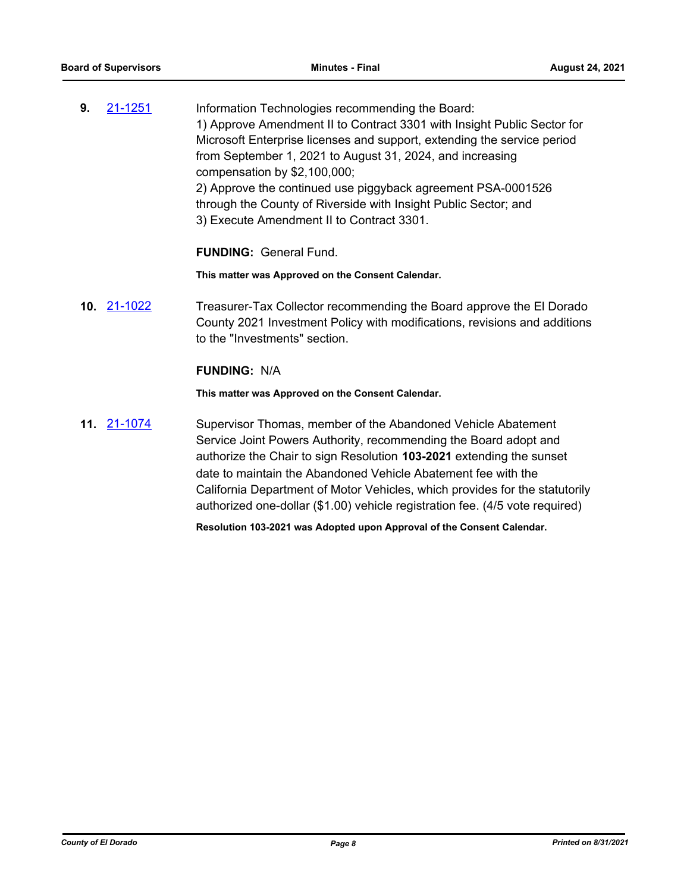**9.** [21-1251](http://eldorado.legistar.com/gateway.aspx?m=l&id=/matter.aspx?key=30146) Information Technologies recommending the Board: 1) Approve Amendment II to Contract 3301 with Insight Public Sector for Microsoft Enterprise licenses and support, extending the service period from September 1, 2021 to August 31, 2024, and increasing compensation by \$2,100,000; 2) Approve the continued use piggyback agreement PSA-0001526 through the County of Riverside with Insight Public Sector; and 3) Execute Amendment II to Contract 3301.

#### **FUNDING:** General Fund.

**This matter was Approved on the Consent Calendar.**

**10.** [21-1022](http://eldorado.legistar.com/gateway.aspx?m=l&id=/matter.aspx?key=29916) Treasurer-Tax Collector recommending the Board approve the El Dorado County 2021 Investment Policy with modifications, revisions and additions to the "Investments" section.

#### **FUNDING:** N/A

**This matter was Approved on the Consent Calendar.**

**11.** [21-1074](http://eldorado.legistar.com/gateway.aspx?m=l&id=/matter.aspx?key=29968) Supervisor Thomas, member of the Abandoned Vehicle Abatement Service Joint Powers Authority, recommending the Board adopt and authorize the Chair to sign Resolution **103-2021** extending the sunset date to maintain the Abandoned Vehicle Abatement fee with the California Department of Motor Vehicles, which provides for the statutorily authorized one-dollar (\$1.00) vehicle registration fee. (4/5 vote required)

**Resolution 103-2021 was Adopted upon Approval of the Consent Calendar.**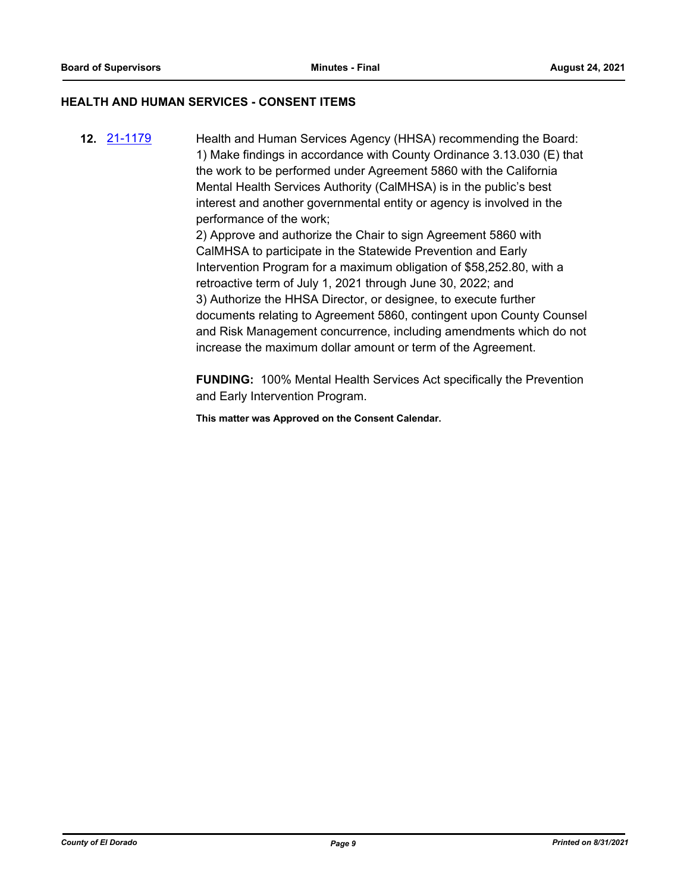#### **HEALTH AND HUMAN SERVICES - CONSENT ITEMS**

**12.** [21-1179](http://eldorado.legistar.com/gateway.aspx?m=l&id=/matter.aspx?key=30074) Health and Human Services Agency (HHSA) recommending the Board: 1) Make findings in accordance with County Ordinance 3.13.030 (E) that the work to be performed under Agreement 5860 with the California Mental Health Services Authority (CalMHSA) is in the public's best interest and another governmental entity or agency is involved in the performance of the work;

2) Approve and authorize the Chair to sign Agreement 5860 with CalMHSA to participate in the Statewide Prevention and Early Intervention Program for a maximum obligation of \$58,252.80, with a retroactive term of July 1, 2021 through June 30, 2022; and 3) Authorize the HHSA Director, or designee, to execute further documents relating to Agreement 5860, contingent upon County Counsel and Risk Management concurrence, including amendments which do not increase the maximum dollar amount or term of the Agreement.

**FUNDING:** 100% Mental Health Services Act specifically the Prevention and Early Intervention Program.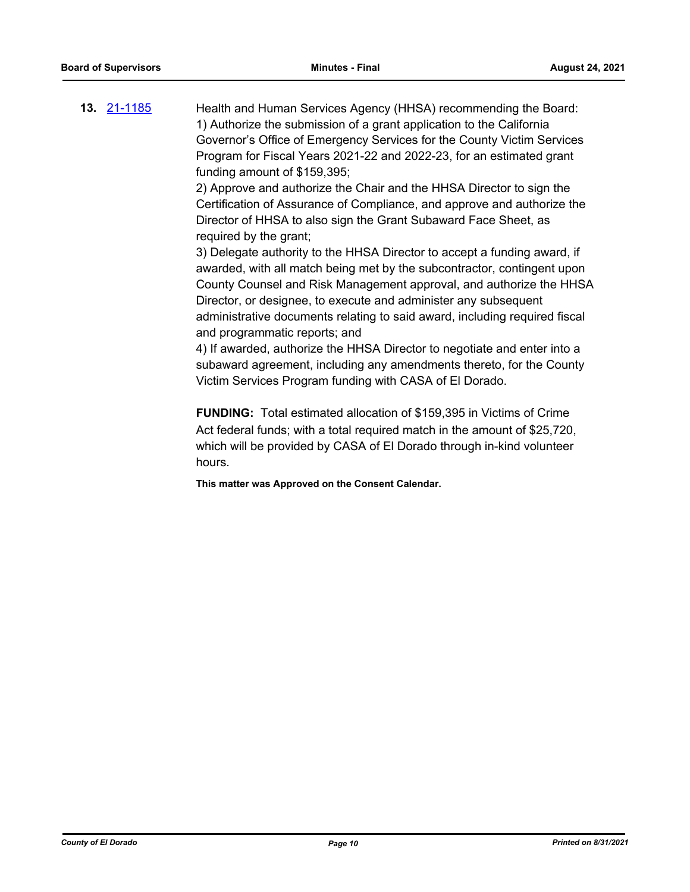**13.** [21-1185](http://eldorado.legistar.com/gateway.aspx?m=l&id=/matter.aspx?key=30080) Health and Human Services Agency (HHSA) recommending the Board: 1) Authorize the submission of a grant application to the California Governor's Office of Emergency Services for the County Victim Services Program for Fiscal Years 2021-22 and 2022-23, for an estimated grant funding amount of \$159,395;

> 2) Approve and authorize the Chair and the HHSA Director to sign the Certification of Assurance of Compliance, and approve and authorize the Director of HHSA to also sign the Grant Subaward Face Sheet, as required by the grant;

3) Delegate authority to the HHSA Director to accept a funding award, if awarded, with all match being met by the subcontractor, contingent upon County Counsel and Risk Management approval, and authorize the HHSA Director, or designee, to execute and administer any subsequent administrative documents relating to said award, including required fiscal and programmatic reports; and

4) If awarded, authorize the HHSA Director to negotiate and enter into a subaward agreement, including any amendments thereto, for the County Victim Services Program funding with CASA of El Dorado.

**FUNDING:** Total estimated allocation of \$159,395 in Victims of Crime Act federal funds; with a total required match in the amount of \$25,720, which will be provided by CASA of El Dorado through in-kind volunteer hours.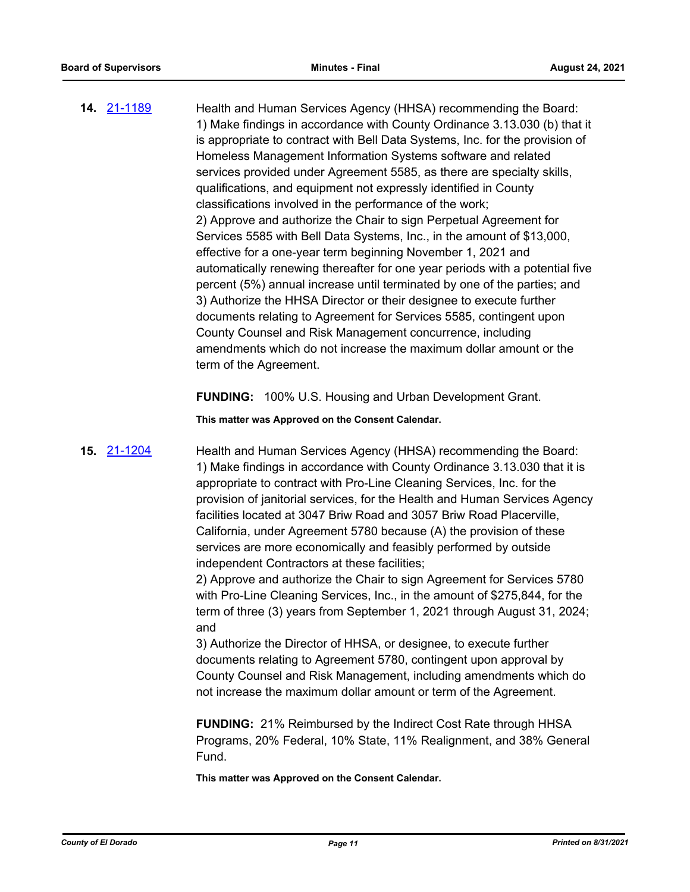**14.** [21-1189](http://eldorado.legistar.com/gateway.aspx?m=l&id=/matter.aspx?key=30084) Health and Human Services Agency (HHSA) recommending the Board: 1) Make findings in accordance with County Ordinance 3.13.030 (b) that it is appropriate to contract with Bell Data Systems, Inc. for the provision of Homeless Management Information Systems software and related services provided under Agreement 5585, as there are specialty skills, qualifications, and equipment not expressly identified in County classifications involved in the performance of the work; 2) Approve and authorize the Chair to sign Perpetual Agreement for Services 5585 with Bell Data Systems, Inc., in the amount of \$13,000, effective for a one-year term beginning November 1, 2021 and automatically renewing thereafter for one year periods with a potential five percent (5%) annual increase until terminated by one of the parties; and 3) Authorize the HHSA Director or their designee to execute further documents relating to Agreement for Services 5585, contingent upon County Counsel and Risk Management concurrence, including amendments which do not increase the maximum dollar amount or the term of the Agreement.

**FUNDING:** 100% U.S. Housing and Urban Development Grant.

**This matter was Approved on the Consent Calendar.**

**15.** [21-1204](http://eldorado.legistar.com/gateway.aspx?m=l&id=/matter.aspx?key=30099) Health and Human Services Agency (HHSA) recommending the Board: 1) Make findings in accordance with County Ordinance 3.13.030 that it is appropriate to contract with Pro-Line Cleaning Services, Inc. for the provision of janitorial services, for the Health and Human Services Agency facilities located at 3047 Briw Road and 3057 Briw Road Placerville, California, under Agreement 5780 because (A) the provision of these services are more economically and feasibly performed by outside independent Contractors at these facilities;

> 2) Approve and authorize the Chair to sign Agreement for Services 5780 with Pro-Line Cleaning Services, Inc., in the amount of \$275,844, for the term of three (3) years from September 1, 2021 through August 31, 2024; and

> 3) Authorize the Director of HHSA, or designee, to execute further documents relating to Agreement 5780, contingent upon approval by County Counsel and Risk Management, including amendments which do not increase the maximum dollar amount or term of the Agreement.

> **FUNDING:** 21% Reimbursed by the Indirect Cost Rate through HHSA Programs, 20% Federal, 10% State, 11% Realignment, and 38% General Fund.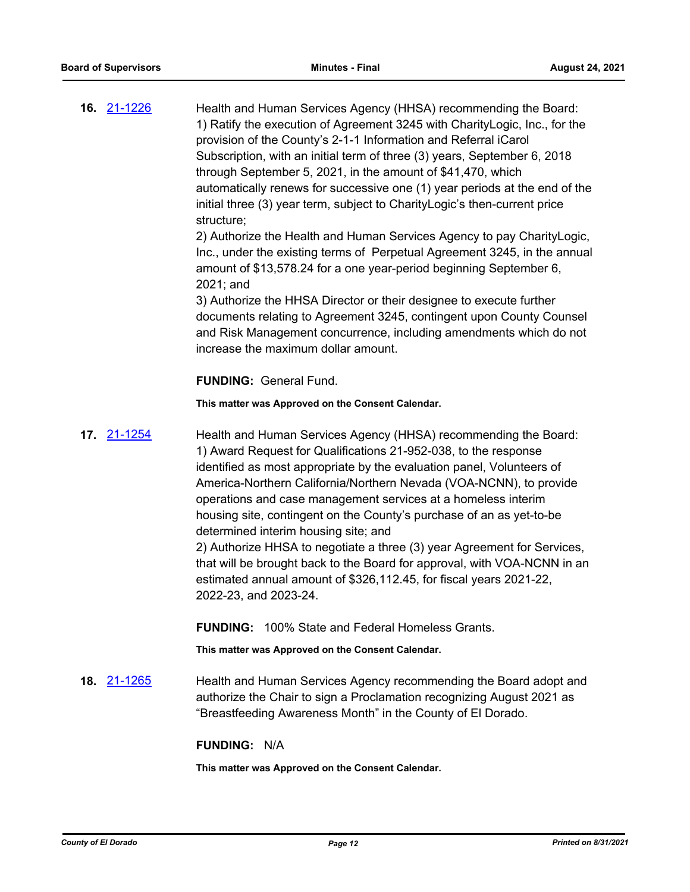**16.** [21-1226](http://eldorado.legistar.com/gateway.aspx?m=l&id=/matter.aspx?key=30121) Health and Human Services Agency (HHSA) recommending the Board: 1) Ratify the execution of Agreement 3245 with CharityLogic, Inc., for the provision of the County's 2-1-1 Information and Referral iCarol Subscription, with an initial term of three (3) years, September 6, 2018 through September 5, 2021, in the amount of \$41,470, which automatically renews for successive one (1) year periods at the end of the initial three (3) year term, subject to CharityLogic's then-current price structure;

2) Authorize the Health and Human Services Agency to pay CharityLogic, Inc., under the existing terms of Perpetual Agreement 3245, in the annual amount of \$13,578.24 for a one year-period beginning September 6, 2021; and

3) Authorize the HHSA Director or their designee to execute further documents relating to Agreement 3245, contingent upon County Counsel and Risk Management concurrence, including amendments which do not increase the maximum dollar amount.

#### **FUNDING:** General Fund.

**This matter was Approved on the Consent Calendar.**

**17.** [21-1254](http://eldorado.legistar.com/gateway.aspx?m=l&id=/matter.aspx?key=30149) Health and Human Services Agency (HHSA) recommending the Board: 1) Award Request for Qualifications 21-952-038, to the response identified as most appropriate by the evaluation panel, Volunteers of America-Northern California/Northern Nevada (VOA-NCNN), to provide operations and case management services at a homeless interim housing site, contingent on the County's purchase of an as yet-to-be determined interim housing site; and

> 2) Authorize HHSA to negotiate a three (3) year Agreement for Services, that will be brought back to the Board for approval, with VOA-NCNN in an estimated annual amount of \$326,112.45, for fiscal years 2021-22, 2022-23, and 2023-24.

**FUNDING:** 100% State and Federal Homeless Grants.

**This matter was Approved on the Consent Calendar.**

**18.** [21-1265](http://eldorado.legistar.com/gateway.aspx?m=l&id=/matter.aspx?key=30160) Health and Human Services Agency recommending the Board adopt and authorize the Chair to sign a Proclamation recognizing August 2021 as "Breastfeeding Awareness Month" in the County of El Dorado.

#### **FUNDING:** N/A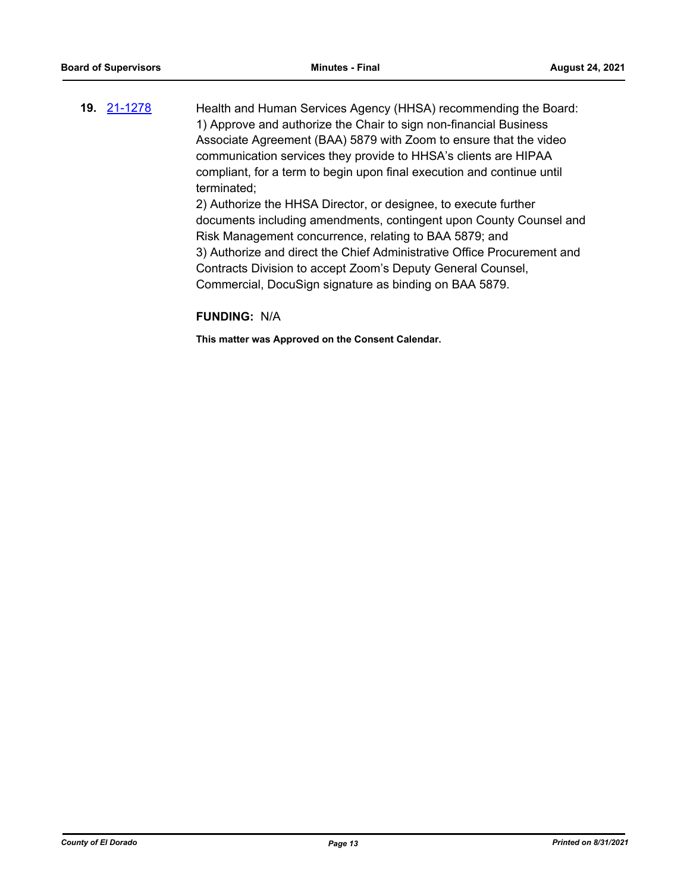**19.** [21-1278](http://eldorado.legistar.com/gateway.aspx?m=l&id=/matter.aspx?key=30173) Health and Human Services Agency (HHSA) recommending the Board: 1) Approve and authorize the Chair to sign non-financial Business Associate Agreement (BAA) 5879 with Zoom to ensure that the video communication services they provide to HHSA's clients are HIPAA compliant, for a term to begin upon final execution and continue until terminated; 2) Authorize the HHSA Director, or designee, to execute further

documents including amendments, contingent upon County Counsel and Risk Management concurrence, relating to BAA 5879; and 3) Authorize and direct the Chief Administrative Office Procurement and Contracts Division to accept Zoom's Deputy General Counsel, Commercial, DocuSign signature as binding on BAA 5879.

#### **FUNDING:** N/A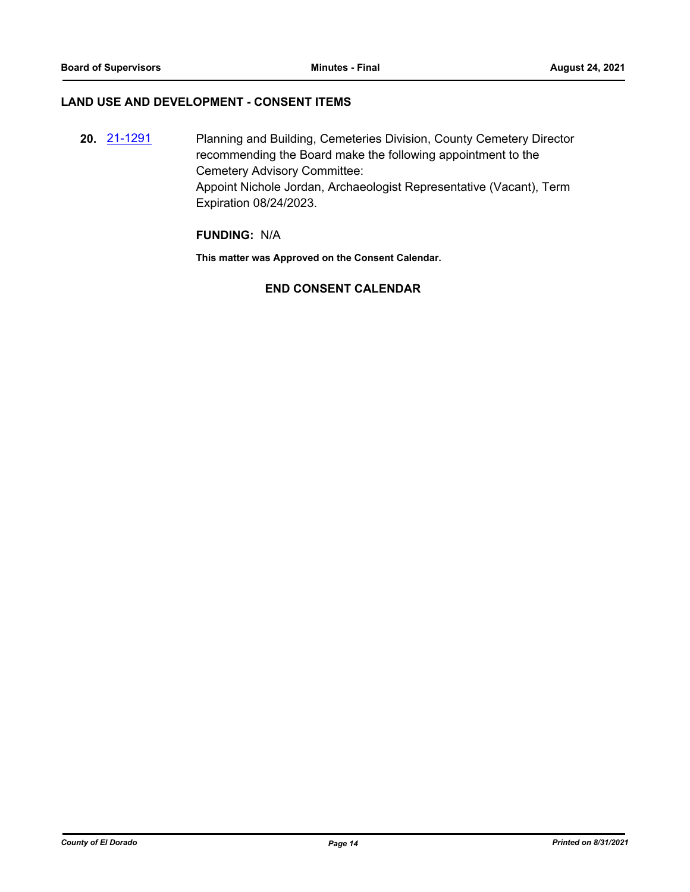#### **LAND USE AND DEVELOPMENT - CONSENT ITEMS**

**20.** [21-1291](http://eldorado.legistar.com/gateway.aspx?m=l&id=/matter.aspx?key=30186) Planning and Building, Cemeteries Division, County Cemetery Director recommending the Board make the following appointment to the Cemetery Advisory Committee: Appoint Nichole Jordan, Archaeologist Representative (Vacant), Term Expiration 08/24/2023.

#### **FUNDING:** N/A

**This matter was Approved on the Consent Calendar.**

#### **END CONSENT CALENDAR**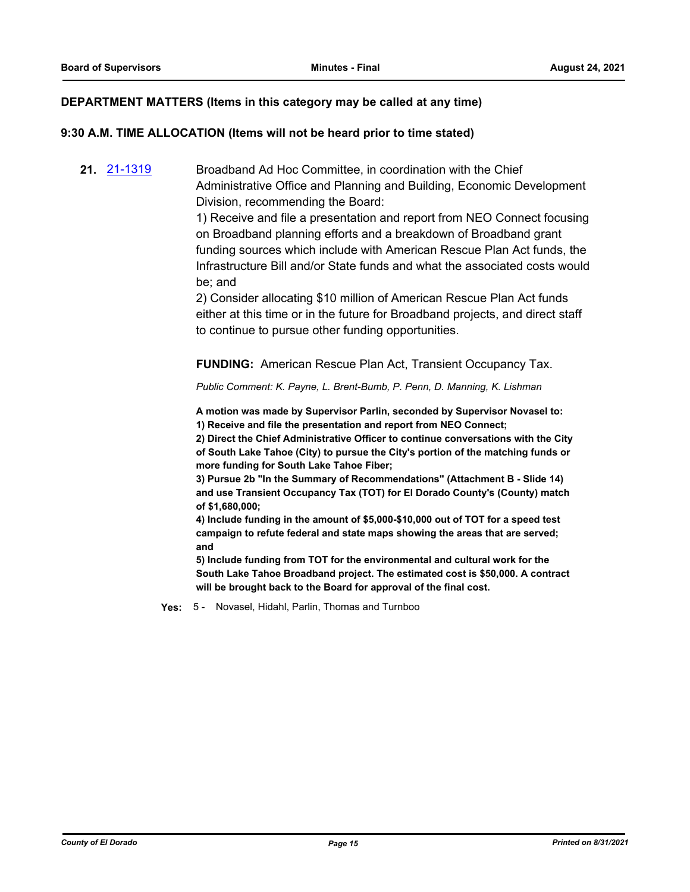#### **DEPARTMENT MATTERS (Items in this category may be called at any time)**

#### **9:30 A.M. TIME ALLOCATION (Items will not be heard prior to time stated)**

**21.** [21-1319](http://eldorado.legistar.com/gateway.aspx?m=l&id=/matter.aspx?key=30214) Broadband Ad Hoc Committee, in coordination with the Chief Administrative Office and Planning and Building, Economic Development Division, recommending the Board:

> 1) Receive and file a presentation and report from NEO Connect focusing on Broadband planning efforts and a breakdown of Broadband grant funding sources which include with American Rescue Plan Act funds, the Infrastructure Bill and/or State funds and what the associated costs would be; and

2) Consider allocating \$10 million of American Rescue Plan Act funds either at this time or in the future for Broadband projects, and direct staff to continue to pursue other funding opportunities.

**FUNDING:** American Rescue Plan Act, Transient Occupancy Tax.

*Public Comment: K. Payne, L. Brent-Bumb, P. Penn, D. Manning, K. Lishman*

**A motion was made by Supervisor Parlin, seconded by Supervisor Novasel to: 1) Receive and file the presentation and report from NEO Connect;** 

**2) Direct the Chief Administrative Officer to continue conversations with the City of South Lake Tahoe (City) to pursue the City's portion of the matching funds or more funding for South Lake Tahoe Fiber;**

**3) Pursue 2b "In the Summary of Recommendations" (Attachment B - Slide 14) and use Transient Occupancy Tax (TOT) for El Dorado County's (County) match of \$1,680,000;** 

**4) Include funding in the amount of \$5,000-\$10,000 out of TOT for a speed test campaign to refute federal and state maps showing the areas that are served; and**

**5) Include funding from TOT for the environmental and cultural work for the South Lake Tahoe Broadband project. The estimated cost is \$50,000. A contract will be brought back to the Board for approval of the final cost.**

**Yes:** 5 - Novasel, Hidahl, Parlin, Thomas and Turnboo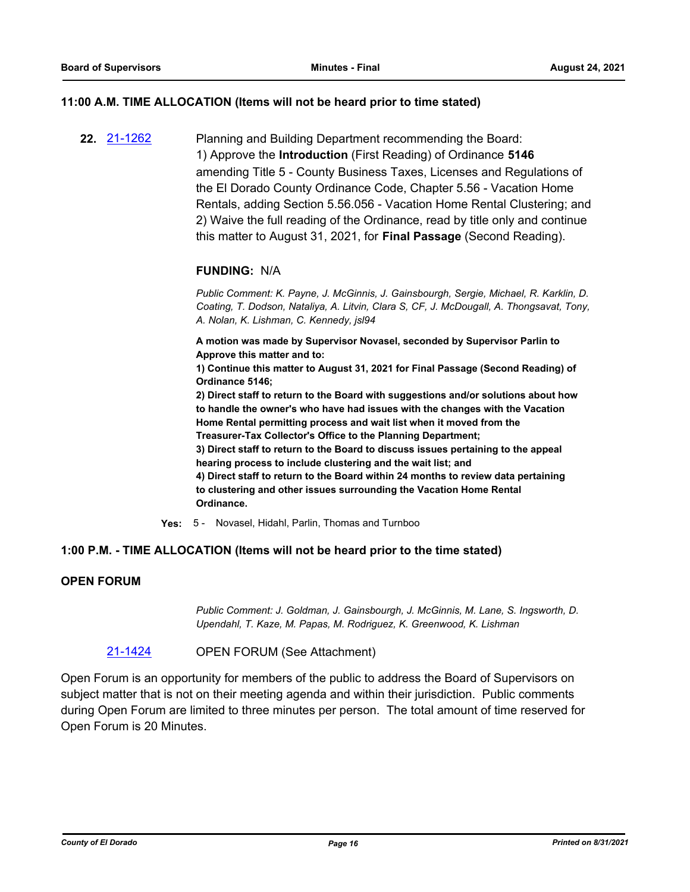#### **11:00 A.M. TIME ALLOCATION (Items will not be heard prior to time stated)**

**22.** [21-1262](http://eldorado.legistar.com/gateway.aspx?m=l&id=/matter.aspx?key=30157) Planning and Building Department recommending the Board: 1) Approve the **Introduction** (First Reading) of Ordinance **5146**  amending Title 5 - County Business Taxes, Licenses and Regulations of the El Dorado County Ordinance Code, Chapter 5.56 - Vacation Home Rentals, adding Section 5.56.056 - Vacation Home Rental Clustering; and 2) Waive the full reading of the Ordinance, read by title only and continue this matter to August 31, 2021, for **Final Passage** (Second Reading).

#### **FUNDING:** N/A

*Public Comment: K. Payne, J. McGinnis, J. Gainsbourgh, Sergie, Michael, R. Karklin, D. Coating, T. Dodson, Nataliya, A. Litvin, Clara S, CF, J. McDougall, A. Thongsavat, Tony, A. Nolan, K. Lishman, C. Kennedy, jsl94*

**A motion was made by Supervisor Novasel, seconded by Supervisor Parlin to Approve this matter and to:**

**1) Continue this matter to August 31, 2021 for Final Passage (Second Reading) of Ordinance 5146;**

**2) Direct staff to return to the Board with suggestions and/or solutions about how to handle the owner's who have had issues with the changes with the Vacation Home Rental permitting process and wait list when it moved from the Treasurer-Tax Collector's Office to the Planning Department;**

**3) Direct staff to return to the Board to discuss issues pertaining to the appeal hearing process to include clustering and the wait list; and**

**4) Direct staff to return to the Board within 24 months to review data pertaining to clustering and other issues surrounding the Vacation Home Rental Ordinance.**

**Yes:** 5 - Novasel, Hidahl, Parlin, Thomas and Turnboo

#### **1:00 P.M. - TIME ALLOCATION (Items will not be heard prior to the time stated)**

#### **OPEN FORUM**

*Public Comment: J. Goldman, J. Gainsbourgh, J. McGinnis, M. Lane, S. Ingsworth, D. Upendahl, T. Kaze, M. Papas, M. Rodriguez, K. Greenwood, K. Lishman*

[21-1424](http://eldorado.legistar.com/gateway.aspx?m=l&id=/matter.aspx?key=30319) OPEN FORUM (See Attachment)

Open Forum is an opportunity for members of the public to address the Board of Supervisors on subject matter that is not on their meeting agenda and within their jurisdiction. Public comments during Open Forum are limited to three minutes per person. The total amount of time reserved for Open Forum is 20 Minutes.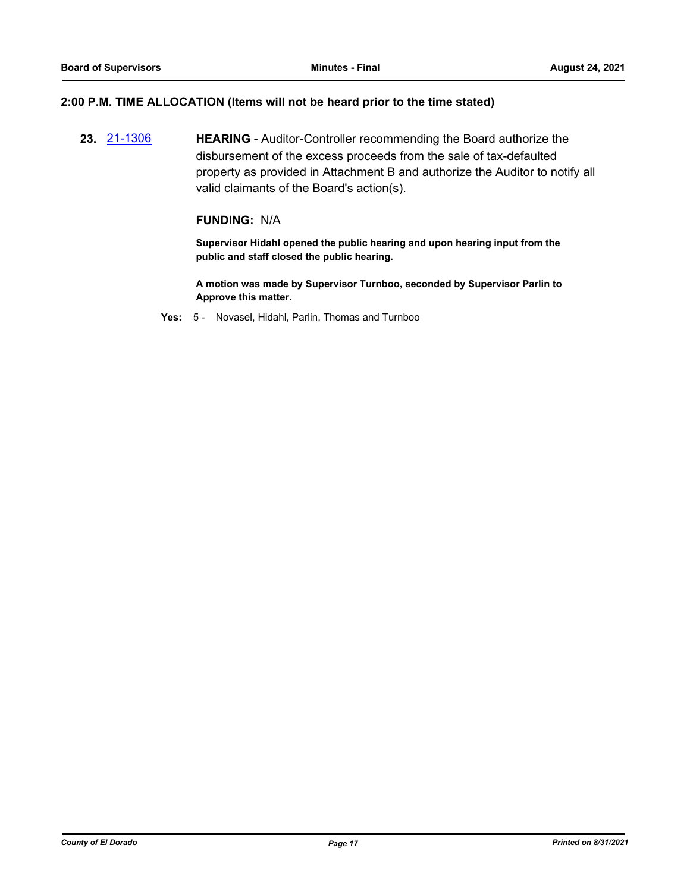#### **2:00 P.M. TIME ALLOCATION (Items will not be heard prior to the time stated)**

**23.** [21-1306](http://eldorado.legistar.com/gateway.aspx?m=l&id=/matter.aspx?key=30201) **HEARING** - Auditor-Controller recommending the Board authorize the disbursement of the excess proceeds from the sale of tax-defaulted property as provided in Attachment B and authorize the Auditor to notify all valid claimants of the Board's action(s).

#### **FUNDING:** N/A

**Supervisor Hidahl opened the public hearing and upon hearing input from the public and staff closed the public hearing.**

**A motion was made by Supervisor Turnboo, seconded by Supervisor Parlin to Approve this matter.**

**Yes:** 5 - Novasel, Hidahl, Parlin, Thomas and Turnboo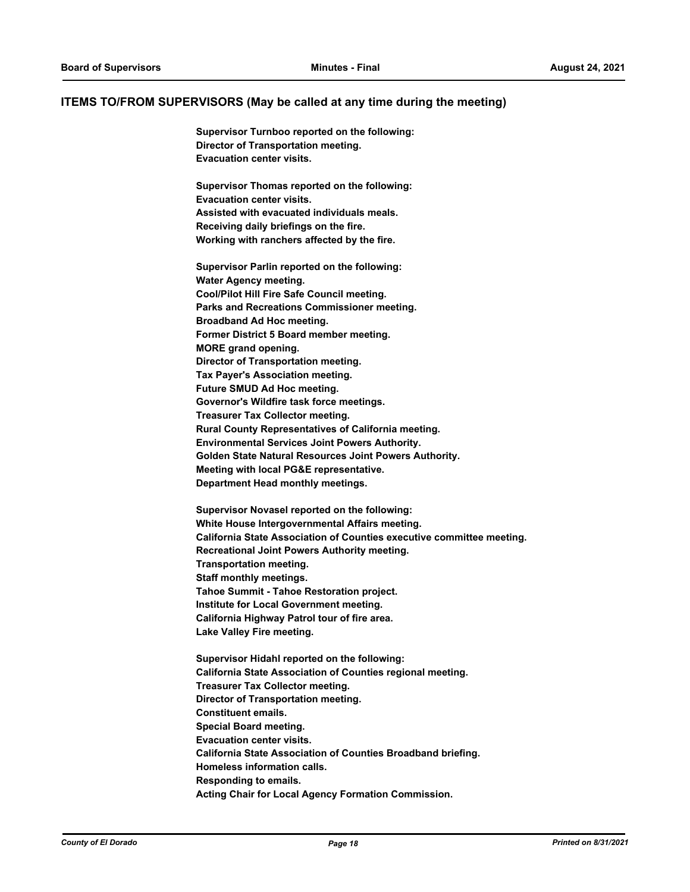#### **ITEMS TO/FROM SUPERVISORS (May be called at any time during the meeting)**

**Supervisor Turnboo reported on the following: Director of Transportation meeting. Evacuation center visits.**

**Supervisor Thomas reported on the following: Evacuation center visits. Assisted with evacuated individuals meals. Receiving daily briefings on the fire. Working with ranchers affected by the fire.**

**Supervisor Parlin reported on the following: Water Agency meeting. Cool/Pilot Hill Fire Safe Council meeting. Parks and Recreations Commissioner meeting. Broadband Ad Hoc meeting. Former District 5 Board member meeting. MORE grand opening. Director of Transportation meeting. Tax Payer's Association meeting. Future SMUD Ad Hoc meeting. Governor's Wildfire task force meetings. Treasurer Tax Collector meeting. Rural County Representatives of California meeting. Environmental Services Joint Powers Authority. Golden State Natural Resources Joint Powers Authority. Meeting with local PG&E representative. Department Head monthly meetings.**

**Supervisor Novasel reported on the following: White House Intergovernmental Affairs meeting. California State Association of Counties executive committee meeting. Recreational Joint Powers Authority meeting. Transportation meeting. Staff monthly meetings. Tahoe Summit - Tahoe Restoration project. Institute for Local Government meeting. California Highway Patrol tour of fire area. Lake Valley Fire meeting.**

**Supervisor Hidahl reported on the following: California State Association of Counties regional meeting. Treasurer Tax Collector meeting. Director of Transportation meeting. Constituent emails. Special Board meeting. Evacuation center visits. California State Association of Counties Broadband briefing. Homeless information calls. Responding to emails. Acting Chair for Local Agency Formation Commission.**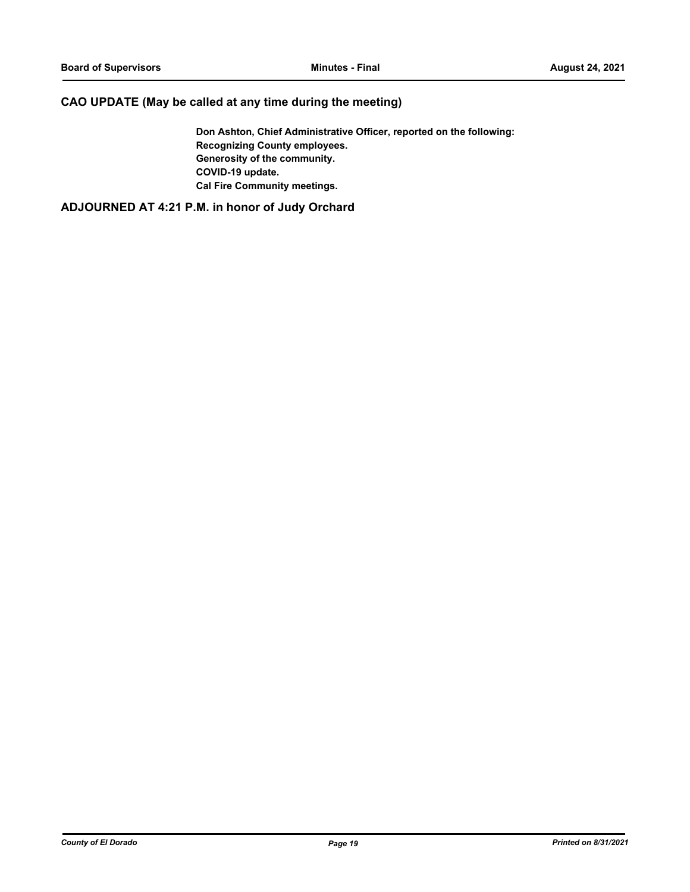#### **CAO UPDATE (May be called at any time during the meeting)**

**Don Ashton, Chief Administrative Officer, reported on the following: Recognizing County employees. Generosity of the community. COVID-19 update. Cal Fire Community meetings.**

**ADJOURNED AT 4:21 P.M. in honor of Judy Orchard**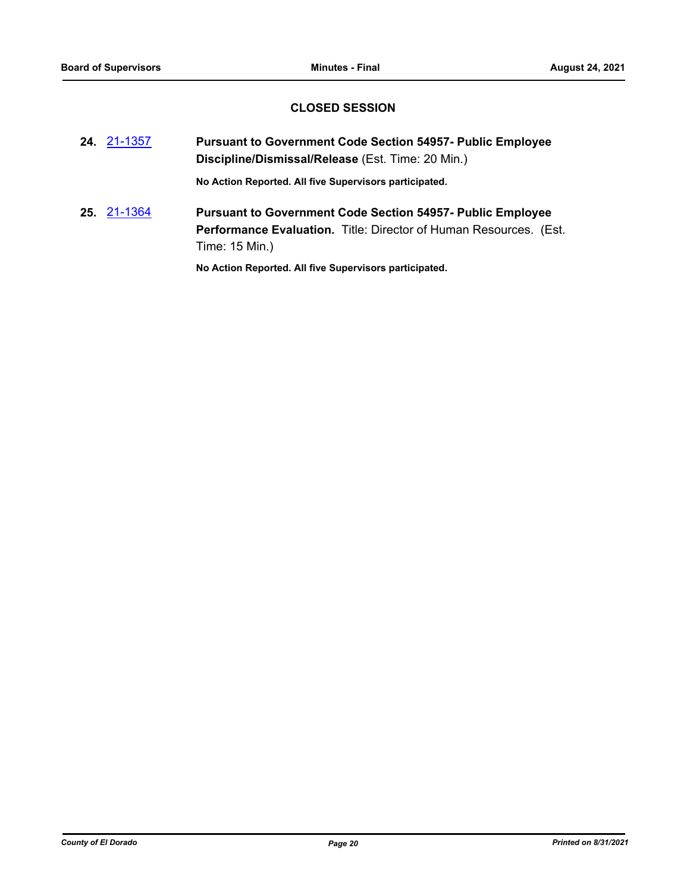#### **CLOSED SESSION**

- **24.** [21-1357](http://eldorado.legistar.com/gateway.aspx?m=l&id=/matter.aspx?key=30252) **Pursuant to Government Code Section 54957- Public Employee Discipline/Dismissal/Release** (Est. Time: 20 Min.) **No Action Reported. All five Supervisors participated.**
- **25.** [21-1364](http://eldorado.legistar.com/gateway.aspx?m=l&id=/matter.aspx?key=30259) **Pursuant to Government Code Section 54957- Public Employee Performance Evaluation.** Title: Director of Human Resources. (Est. Time: 15 Min.)

**No Action Reported. All five Supervisors participated.**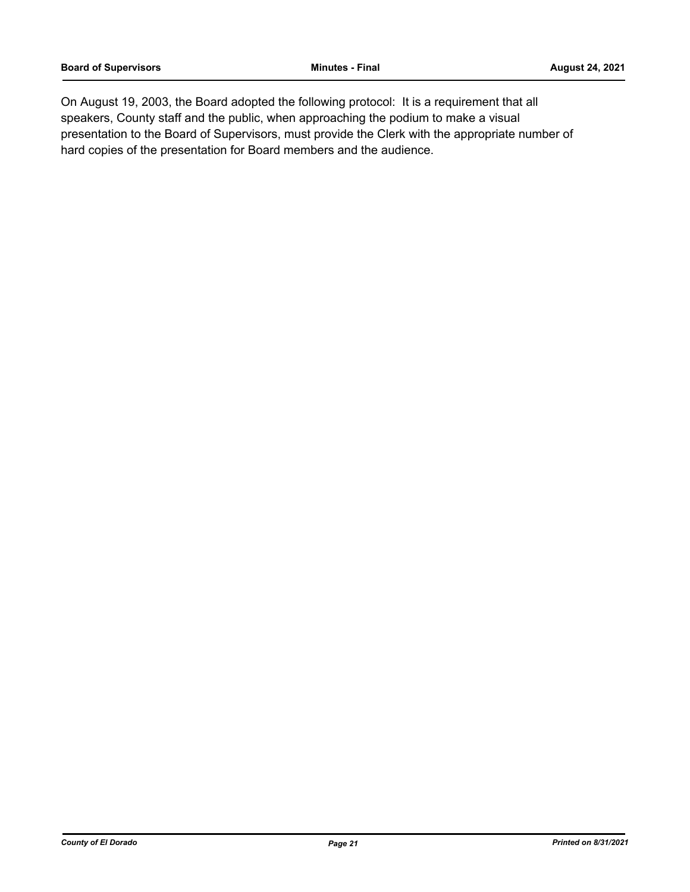On August 19, 2003, the Board adopted the following protocol: It is a requirement that all speakers, County staff and the public, when approaching the podium to make a visual presentation to the Board of Supervisors, must provide the Clerk with the appropriate number of hard copies of the presentation for Board members and the audience.